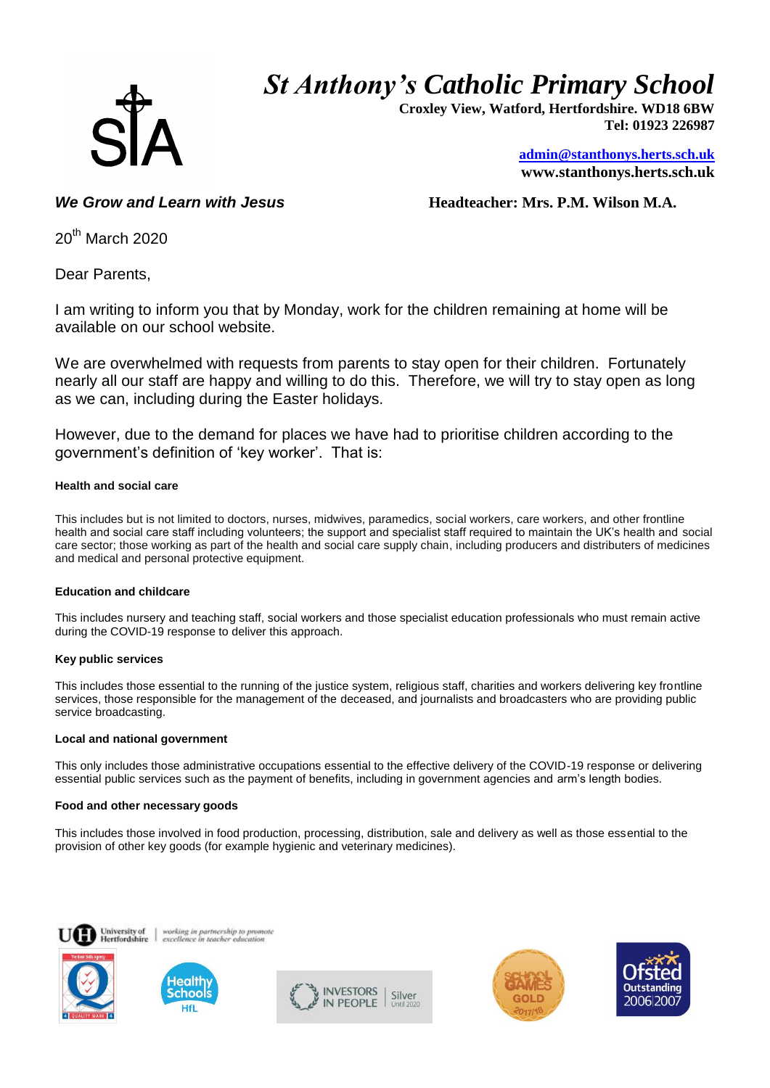# *St Anthony's Catholic Primary School*



 **Croxley View, Watford, Hertfordshire. WD18 6BW Tel: 01923 226987** 

> **[admin@stanthonys.herts.sch.uk](mailto:admin.stanthonys@thegrid.org.uk) www.stanthonys.herts.sch.uk**

*We Grow and Learn with Jesus* **<b>***Headteacher: Mrs. P.M. Wilson M.A.* 

 $20<sup>th</sup>$  March 2020

Dear Parents,

I am writing to inform you that by Monday, work for the children remaining at home will be available on our school website.

We are overwhelmed with requests from parents to stay open for their children. Fortunately nearly all our staff are happy and willing to do this. Therefore, we will try to stay open as long as we can, including during the Easter holidays.

However, due to the demand for places we have had to prioritise children according to the government's definition of 'key worker'. That is:

# **Health and social care**

This includes but is not limited to doctors, nurses, midwives, paramedics, social workers, care workers, and other frontline health and social care staff including volunteers; the support and specialist staff required to maintain the UK's health and social care sector; those working as part of the health and social care supply chain, including producers and distributers of medicines and medical and personal protective equipment.

# **Education and childcare**

This includes nursery and teaching staff, social workers and those specialist education professionals who must remain active during the COVID-19 response to deliver this approach.

# **Key public services**

This includes those essential to the running of the justice system, religious staff, charities and workers delivering key frontline services, those responsible for the management of the deceased, and journalists and broadcasters who are providing public service broadcasting.

#### **Local and national government**

This only includes those administrative occupations essential to the effective delivery of the COVID-19 response or delivering essential public services such as the payment of benefits, including in government agencies and arm's length bodies.

# **Food and other necessary goods**

This includes those involved in food production, processing, distribution, sale and delivery as well as those essential to the provision of other key goods (for example hygienic and veterinary medicines).





working in partnership to prom<br>excellence in teacher education